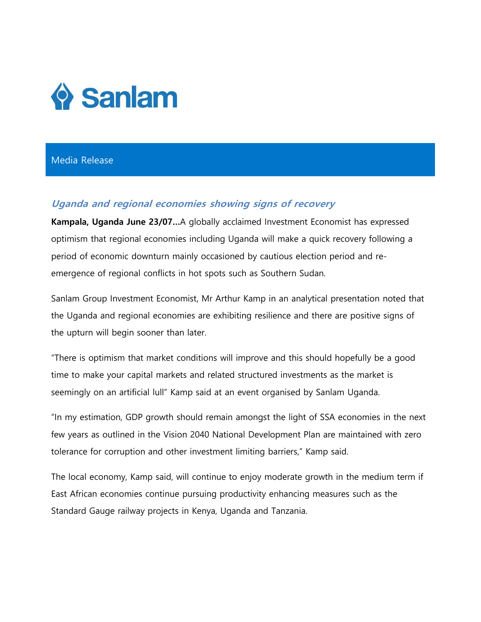

## Media Release

# **Uganda and regional economies showing signs of recovery**

**Kampala, Uganda June 23/07…**A globally acclaimed Investment Economist has expressed optimism that regional economies including Uganda will make a quick recovery following a period of economic downturn mainly occasioned by cautious election period and reemergence of regional conflicts in hot spots such as Southern Sudan.

Sanlam Group Investment Economist, Mr Arthur Kamp in an analytical presentation noted that the Uganda and regional economies are exhibiting resilience and there are positive signs of the upturn will begin sooner than later.

"There is optimism that market conditions will improve and this should hopefully be a good time to make your capital markets and related structured investments as the market is seemingly on an artificial lull" Kamp said at an event organised by Sanlam Uganda.

"In my estimation, GDP growth should remain amongst the light of SSA economies in the next few years as outlined in the Vision 2040 National Development Plan are maintained with zero tolerance for corruption and other investment limiting barriers," Kamp said.

The local economy, Kamp said, will continue to enjoy moderate growth in the medium term if East African economies continue pursuing productivity enhancing measures such as the Standard Gauge railway projects in Kenya, Uganda and Tanzania.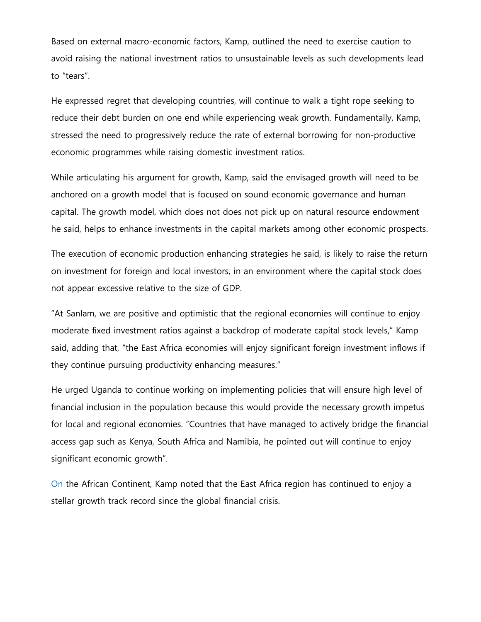Based on external macro-economic factors, Kamp, outlined the need to exercise caution to avoid raising the national investment ratios to unsustainable levels as such developments lead to "tears".

He expressed regret that developing countries, will continue to walk a tight rope seeking to reduce their debt burden on one end while experiencing weak growth. Fundamentally, Kamp, stressed the need to progressively reduce the rate of external borrowing for non-productive economic programmes while raising domestic investment ratios.

While articulating his argument for growth, Kamp, said the envisaged growth will need to be anchored on a growth model that is focused on sound economic governance and human capital. The growth model, which does not does not pick up on natural resource endowment he said, helps to enhance investments in the capital markets among other economic prospects.

The execution of economic production enhancing strategies he said, is likely to raise the return on investment for foreign and local investors, in an environment where the capital stock does not appear excessive relative to the size of GDP.

"At Sanlam, we are positive and optimistic that the regional economies will continue to enjoy moderate fixed investment ratios against a backdrop of moderate capital stock levels," Kamp said, adding that, "the East Africa economies will enjoy significant foreign investment inflows if they continue pursuing productivity enhancing measures."

He urged Uganda to continue working on implementing policies that will ensure high level of financial inclusion in the population because this would provide the necessary growth impetus for local and regional economies. "Countries that have managed to actively bridge the financial access gap such as Kenya, South Africa and Namibia, he pointed out will continue to enjoy significant economic growth".

On the African Continent, Kamp noted that the East Africa region has continued to enjoy a stellar growth track record since the global financial crisis.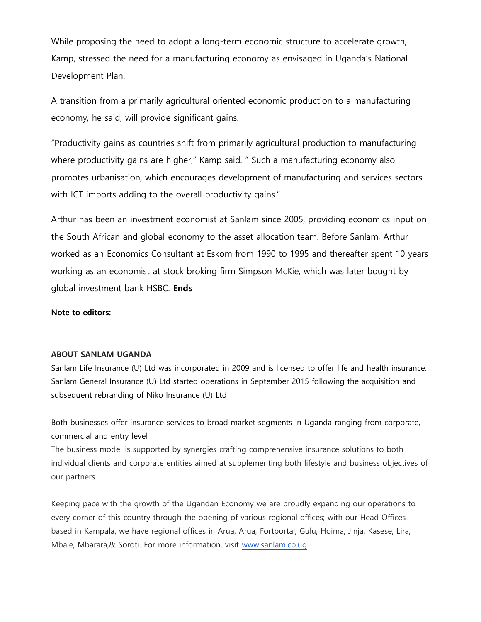While proposing the need to adopt a long-term economic structure to accelerate growth, Kamp, stressed the need for a manufacturing economy as envisaged in Uganda's National Development Plan.

A transition from a primarily agricultural oriented economic production to a manufacturing economy, he said, will provide significant gains.

"Productivity gains as countries shift from primarily agricultural production to manufacturing where productivity gains are higher," Kamp said. " Such a manufacturing economy also promotes urbanisation, which encourages development of manufacturing and services sectors with ICT imports adding to the overall productivity gains."

Arthur has been an investment economist at Sanlam since 2005, providing economics input on the South African and global economy to the asset allocation team. Before Sanlam, Arthur worked as an Economics Consultant at Eskom from 1990 to 1995 and thereafter spent 10 years working as an economist at stock broking firm Simpson McKie, which was later bought by global investment bank HSBC. **Ends** 

#### **Note to editors:**

#### **ABOUT SANLAM UGANDA**

Sanlam Life Insurance (U) Ltd was incorporated in 2009 and is licensed to offer life and health insurance. Sanlam General Insurance (U) Ltd started operations in September 2015 following the acquisition and subsequent rebranding of Niko Insurance (U) Ltd

Both businesses offer insurance services to broad market segments in Uganda ranging from corporate, commercial and entry level

The business model is supported by synergies crafting comprehensive insurance solutions to both individual clients and corporate entities aimed at supplementing both lifestyle and business objectives of our partners.

Keeping pace with the growth of the Ugandan Economy we are proudly expanding our operations to every corner of this country through the opening of various regional offices; with our Head Offices based in Kampala, we have regional offices in Arua, Arua, Fortportal, Gulu, Hoima, Jinja, Kasese, Lira, Mbale, Mbarara,& Soroti. For more information, visit [www.sanlam.co.ug](http://www.sanlam.co.ug/)